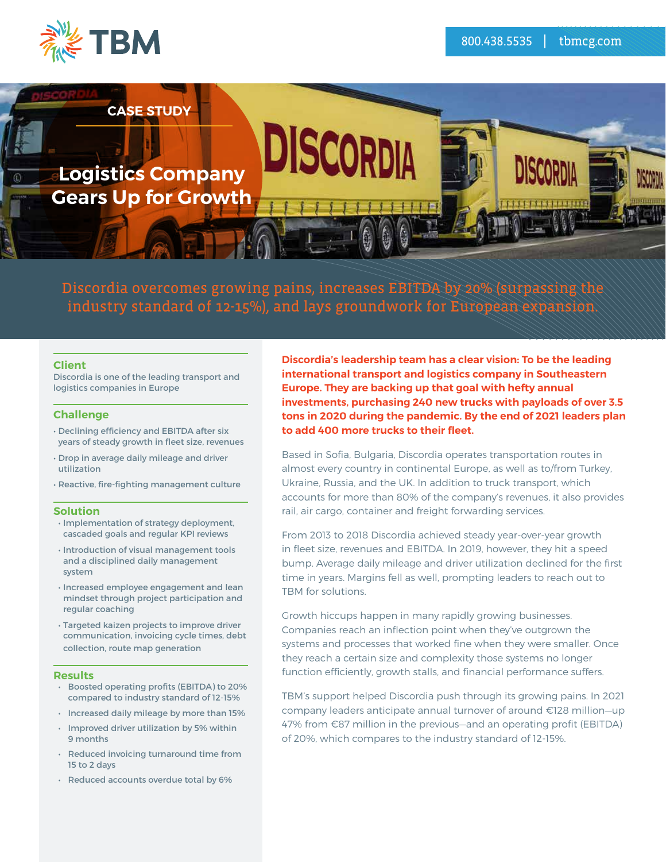



Discordia overcomes growing pains, increases EBITDA by 20% (surpassing the industry standard of 12-15%), and lays groundwork for European expansion.

### **Client**

Discordia is one of the leading transport and logistics companies in Europe

### **Challenge**

- Declining efficiency and EBITDA after six years of steady growth in fleet size, revenues
- Drop in average daily mileage and driver utilization
- Reactive, fire-fighting management culture

### **Solution**

- Implementation of strategy deployment, cascaded goals and regular KPI reviews
- Introduction of visual management tools and a disciplined daily management system
- Increased employee engagement and lean mindset through project participation and regular coaching
- Targeted kaizen projects to improve driver communication, invoicing cycle times, debt collection, route map generation

### **Results**

- Boosted operating profits (EBITDA) to 20% compared to industry standard of 12-15%
- Increased daily mileage by more than 15%
- Improved driver utilization by 5% within 9 months
- Reduced invoicing turnaround time from 15 to 2 days
- Reduced accounts overdue total by 6%

**Discordia's leadership team has a clear vision: To be the leading international transport and logistics company in Southeastern Europe. They are backing up that goal with hefty annual investments, purchasing 240 new trucks with payloads of over 3.5 tons in 2020 during the pandemic. By the end of 2021 leaders plan to add 400 more trucks to their fleet.** 

Based in Sofia, Bulgaria, Discordia operates transportation routes in almost every country in continental Europe, as well as to/from Turkey, Ukraine, Russia, and the UK. In addition to truck transport, which accounts for more than 80% of the company's revenues, it also provides rail, air cargo, container and freight forwarding services.

From 2013 to 2018 Discordia achieved steady year-over-year growth in fleet size, revenues and EBITDA. In 2019, however, they hit a speed bump. Average daily mileage and driver utilization declined for the first time in years. Margins fell as well, prompting leaders to reach out to TBM for solutions.

Growth hiccups happen in many rapidly growing businesses. Companies reach an inflection point when they've outgrown the systems and processes that worked fine when they were smaller. Once they reach a certain size and complexity those systems no longer function efficiently, growth stalls, and financial performance suffers.

TBM's support helped Discordia push through its growing pains. In 2021 company leaders anticipate annual turnover of around €128 million—up 47% from €87 million in the previous—and an operating profit (EBITDA) of 20%, which compares to the industry standard of 12-15%.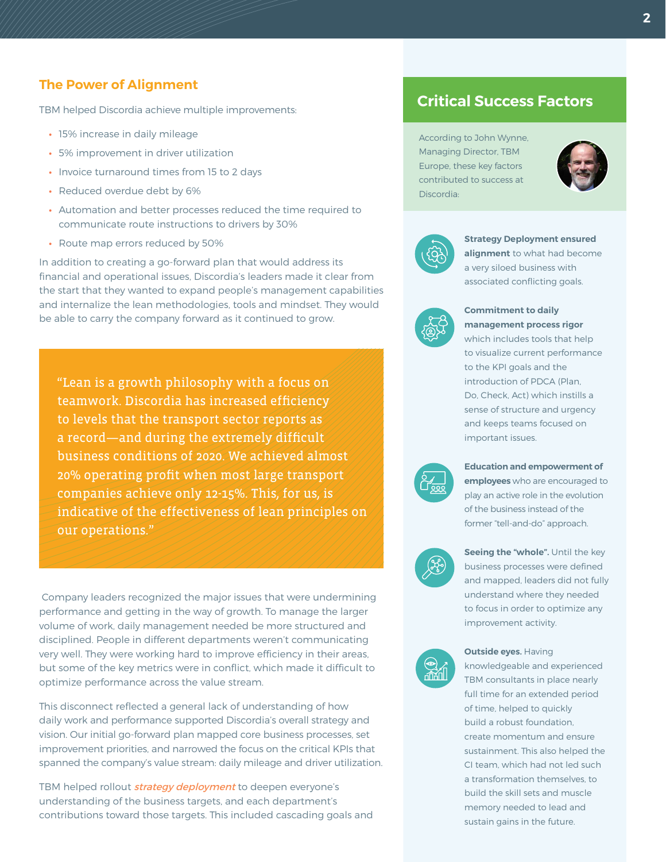## **The Power of Alignment**

TBM helped Discordia achieve multiple improvements:

- **•** 15% increase in daily mileage
- **•** 5% improvement in driver utilization
- **•** Invoice turnaround times from 15 to 2 days
- **•** Reduced overdue debt by 6%
- **•** Automation and better processes reduced the time required to communicate route instructions to drivers by 30%
- **•** Route map errors reduced by 50%

In addition to creating a go-forward plan that would address its financial and operational issues, Discordia's leaders made it clear from the start that they wanted to expand people's management capabilities and internalize the lean methodologies, tools and mindset. They would be able to carry the company forward as it continued to grow.

"Lean is a growth philosophy with a focus on teamwork. Discordia has increased efficiency to levels that the transport sector reports as a record—and during the extremely difficult business conditions of 2020. We achieved almost 20% operating profit when most large transport companies achieve only 12-15%. This, for us, is indicative of the effectiveness of lean principles on our operations."

 Company leaders recognized the major issues that were undermining performance and getting in the way of growth. To manage the larger volume of work, daily management needed be more structured and disciplined. People in different departments weren't communicating very well. They were working hard to improve efficiency in their areas, but some of the key metrics were in conflict, which made it difficult to they can departments weren't complete<br>they hard to improve efficiency in<br>s were in conflict, which made<br>ss the value stream.<br>general lack of understanding<br>e supported Discordia's overall<br>d plan mapped core business r The way of growth. To manage the languement needed be more structured<br>the magement needed be more structured<br>rent departments weren't communica<br>ing hard to improve efficiency in their a<br>cs were in conflict, which made it d

optimize performance across the value stream.<br>This disconnect reflected a general lack of unde<br>daily work and performance supported Discordiation Our initial go forward plan manned sets k This disconnect reflected a general lack of understanding of how daily work and performance supported Discordia's overall strategy and vision. Our initial go-forward plan mapped core business processes, set improvement priorities, and narrowed the focus on the critical KPIs that spanned the company's value stream: daily mileage and driver utilization.

TBM helped rollout *[strategy deployment](https://www.dploysolutions.com/software/strategy-deployment/)* to deepen everyone's understanding of the business targets, and each department's contributions toward those targets. This included cascading goals and

# **Critical Success Factors**

According to John Wynne, Managing Director, TBM Europe, these key factors contributed to success at Discordia:





**Strategy Deployment ensured alignment** to what had become a very siloed business with associated conflicting goals.



### **Commitment to daily management process rigor**

which includes tools that help to visualize current performance to the KPI goals and the introduction of PDCA (Plan, Do, Check, Act) which instills a sense of structure and urgency and keeps teams focused on important issues.



**Education and empowerment of employees** who are encouraged to play an active role in the evolution of the business instead of the former "tell-and-do" approach.



**Seeing the "whole".** Until the key business processes were defined and mapped, leaders did not fully understand where they needed to focus in order to optimize any improvement activity.



#### **Outside eyes. Having**

knowledgeable and experienced TBM consultants in place nearly full time for an extended period of time, helped to quickly build a robust foundation, create momentum and ensure sustainment. This also helped the CI team, which had not led such a transformation themselves, to build the skill sets and muscle memory needed to lead and sustain gains in the future.